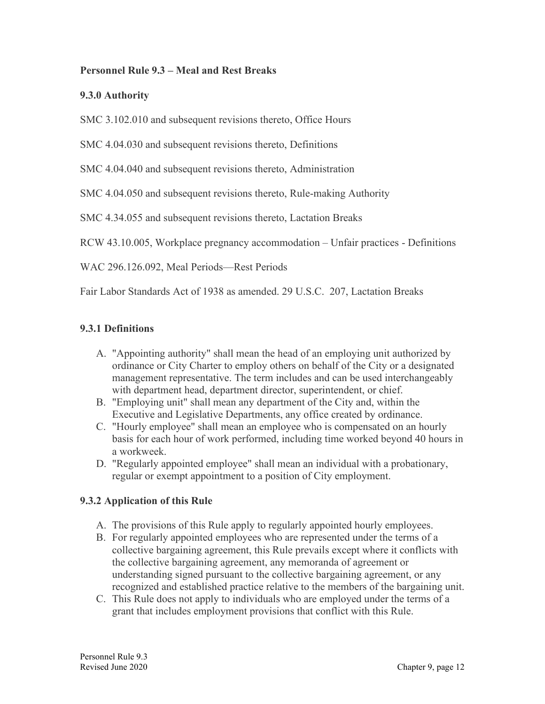#### **Personnel Rule 9.3 – Meal and Rest Breaks**

#### **9.3.0 Authority**

SMC 3.102.010 and subsequent revisions thereto, Office Hours

SMC 4.04.030 and subsequent revisions thereto, Definitions

SMC 4.04.040 and subsequent revisions thereto, Administration

SMC 4.04.050 and subsequent revisions thereto, Rule-making Authority

SMC 4.34.055 and subsequent revisions thereto, Lactation Breaks

RCW 43.10.005, Workplace pregnancy accommodation – Unfair practices - Definitions

WAC 296.126.092, Meal Periods—Rest Periods

Fair Labor Standards Act of 1938 as amended. 29 U.S.C. 207, Lactation Breaks

#### **9.3.1 Definitions**

- A. "Appointing authority" shall mean the head of an employing unit authorized by ordinance or City Charter to employ others on behalf of the City or a designated management representative. The term includes and can be used interchangeably with department head, department director, superintendent, or chief.
- B. "Employing unit" shall mean any department of the City and, within the Executive and Legislative Departments, any office created by ordinance.
- C. "Hourly employee" shall mean an employee who is compensated on an hourly basis for each hour of work performed, including time worked beyond 40 hours in a workweek.
- D. "Regularly appointed employee" shall mean an individual with a probationary, regular or exempt appointment to a position of City employment.

# **9.3.2 Application of this Rule**

- A. The provisions of this Rule apply to regularly appointed hourly employees.
- B. For regularly appointed employees who are represented under the terms of a collective bargaining agreement, this Rule prevails except where it conflicts with the collective bargaining agreement, any memoranda of agreement or understanding signed pursuant to the collective bargaining agreement, or any recognized and established practice relative to the members of the bargaining unit.
- C. This Rule does not apply to individuals who are employed under the terms of a grant that includes employment provisions that conflict with this Rule.